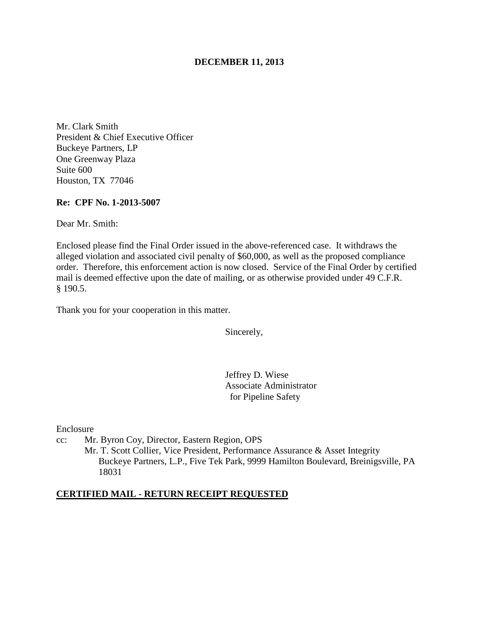## **DECEMBER 11, 2013**

Mr. Clark Smith President & Chief Executive Officer Buckeye Partners, LP One Greenway Plaza Suite 600 Houston, TX 77046

### **Re: CPF No. 1-2013-5007**

Dear Mr. Smith:

Enclosed please find the Final Order issued in the above-referenced case. It withdraws the alleged violation and associated civil penalty of \$60,000, as well as the proposed compliance order. Therefore, this enforcement action is now closed. Service of the Final Order by certified mail is deemed effective upon the date of mailing, or as otherwise provided under 49 C.F.R. § 190.5.

Thank you for your cooperation in this matter.

Sincerely,

Jeffrey D. Wiese Associate Administrator for Pipeline Safety

Enclosure

cc: Mr. Byron Coy, Director, Eastern Region, OPS

Mr. T. Scott Collier, Vice President, Performance Assurance & Asset Integrity Buckeye Partners, L.P., Five Tek Park, 9999 Hamilton Boulevard, Breinigsville, PA 18031

### **CERTIFIED MAIL - RETURN RECEIPT REQUESTED**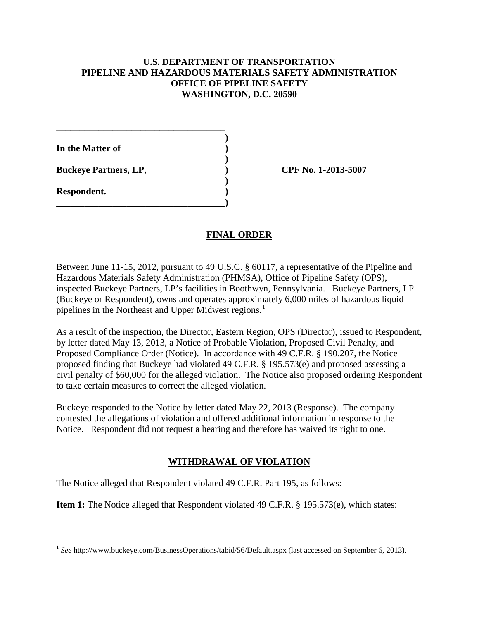## **U.S. DEPARTMENT OF TRANSPORTATION PIPELINE AND HAZARDOUS MATERIALS SAFETY ADMINISTRATION OFFICE OF PIPELINE SAFETY WASHINGTON, D.C. 20590**

**In the Matter of )** 

**Buckeye Partners, LP,**  (2013-5007)

**\_\_\_\_\_\_\_\_\_\_\_\_\_\_\_\_\_\_\_\_\_\_\_\_\_\_\_\_\_\_\_\_\_\_\_\_ )** 

 **)** 

 **)** 

**\_\_\_\_\_\_\_\_\_\_\_\_\_\_\_\_\_\_\_\_\_\_\_\_\_\_\_\_\_\_\_\_\_\_\_\_)** 

**Respondent. )** 

# **FINAL ORDER**

Between June 11-15, 2012, pursuant to 49 U.S.C. § 60117, a representative of the Pipeline and Hazardous Materials Safety Administration (PHMSA), Office of Pipeline Safety (OPS), inspected Buckeye Partners, LP's facilities in Boothwyn, Pennsylvania. Buckeye Partners, LP (Buckeye or Respondent), owns and operates approximately 6,000 miles of hazardous liquid pipelines in the Northeast and Upper Midwest regions.<sup>1</sup>

As a result of the inspection, the Director, Eastern Region, OPS (Director), issued to Respondent, by letter dated May 13, 2013, a Notice of Probable Violation, Proposed Civil Penalty, and Proposed Compliance Order (Notice). In accordance with 49 C.F.R. § 190.207, the Notice proposed finding that Buckeye had violated 49 C.F.R. § 195.573(e) and proposed assessing a civil penalty of \$60,000 for the alleged violation. The Notice also proposed ordering Respondent to take certain measures to correct the alleged violation.

Buckeye responded to the Notice by letter dated May 22, 2013 (Response). The company contested the allegations of violation and offered additional information in response to the Notice. Respondent did not request a hearing and therefore has waived its right to one.

# **WITHDRAWAL OF VIOLATION**

The Notice alleged that Respondent violated 49 C.F.R. Part 195, as follows:

**Item 1:** The Notice alleged that Respondent violated 49 C.F.R. § 195.573(e), which states:

 $\overline{a}$ <sup>1</sup> See http://www.buckeye.com/BusinessOperations/tabid/56/Default.aspx (last accessed on September 6, 2013).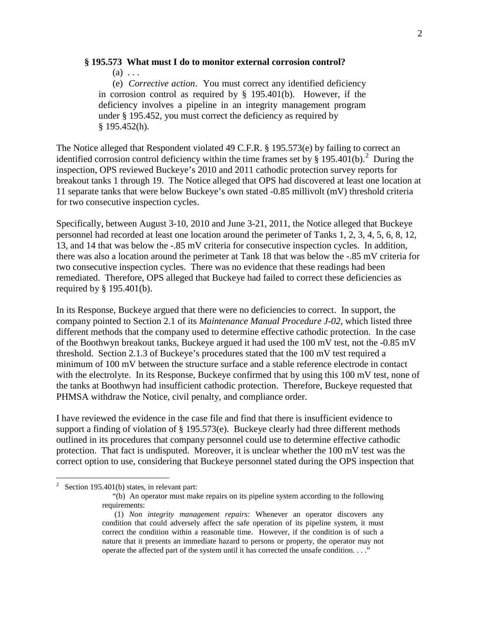### **§ 195.573 What must I do to monitor external corrosion control?**

 $(a) \ldots$ 

 (e) *Corrective action*. You must correct any identified deficiency in corrosion control as required by § 195.401(b). However, if the deficiency involves a pipeline in an integrity management program under § 195.452, you must correct the deficiency as required by § 195.452(h).

The Notice alleged that Respondent violated 49 C.F.R. § 195.573(e) by failing to correct an identified corrosion control deficiency within the time frames set by  $\S 195.401(b)$ .<sup>2</sup> During the inspection, OPS reviewed Buckeye's 2010 and 2011 cathodic protection survey reports for breakout tanks 1 through 19. The Notice alleged that OPS had discovered at least one location at 11 separate tanks that were below Buckeye's own stated -0.85 millivolt (mV) threshold criteria for two consecutive inspection cycles.

Specifically, between August 3-10, 2010 and June 3-21, 2011, the Notice alleged that Buckeye personnel had recorded at least one location around the perimeter of Tanks 1, 2, 3, 4, 5, 6, 8, 12, 13, and 14 that was below the -.85 mV criteria for consecutive inspection cycles. In addition, there was also a location around the perimeter at Tank 18 that was below the -.85 mV criteria for two consecutive inspection cycles. There was no evidence that these readings had been remediated. Therefore, OPS alleged that Buckeye had failed to correct these deficiencies as required by § 195.401(b).

In its Response, Buckeye argued that there were no deficiencies to correct. In support, the company pointed to Section 2.1 of its *Maintenance Manual Procedure J-02*, which listed three different methods that the company used to determine effective cathodic protection. In the case of the Boothwyn breakout tanks, Buckeye argued it had used the 100 mV test, not the -0.85 mV threshold. Section 2.1.3 of Buckeye's procedures stated that the 100 mV test required a minimum of 100 mV between the structure surface and a stable reference electrode in contact with the electrolyte. In its Response, Buckeye confirmed that by using this 100 mV test, none of the tanks at Boothwyn had insufficient cathodic protection. Therefore, Buckeye requested that PHMSA withdraw the Notice, civil penalty, and compliance order.

I have reviewed the evidence in the case file and find that there is insufficient evidence to support a finding of violation of  $\S 195.573(e)$ . Buckeye clearly had three different methods outlined in its procedures that company personnel could use to determine effective cathodic protection. That fact is undisputed. Moreover, it is unclear whether the 100 mV test was the correct option to use, considering that Buckeye personnel stated during the OPS inspection that

 $\frac{1}{2}$ Section 195.401(b) states, in relevant part:

<sup>&</sup>quot;(b) An operator must make repairs on its pipeline system according to the following requirements:

<sup>(1)</sup> *Non integrity management repairs:* Whenever an operator discovers any condition that could adversely affect the safe operation of its pipeline system, it must correct the condition within a reasonable time. However, if the condition is of such a nature that it presents an immediate hazard to persons or property, the operator may not operate the affected part of the system until it has corrected the unsafe condition. . . ."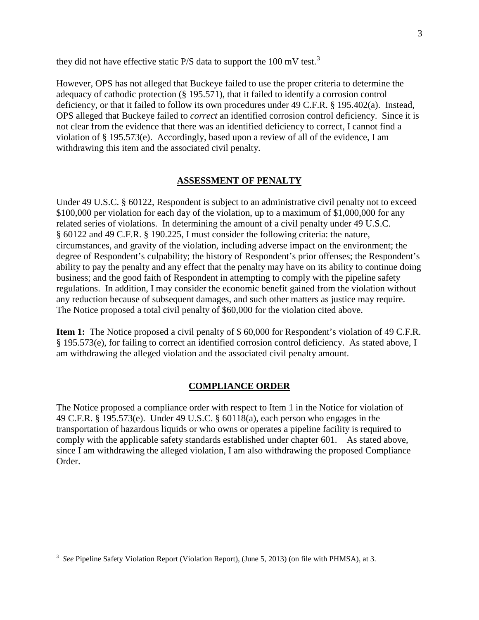they did not have effective static P/S data to support the 100 mV test.<sup>3</sup>

However, OPS has not alleged that Buckeye failed to use the proper criteria to determine the adequacy of cathodic protection (§ 195.571), that it failed to identify a corrosion control deficiency, or that it failed to follow its own procedures under 49 C.F.R. § 195.402(a). Instead, OPS alleged that Buckeye failed to *correct* an identified corrosion control deficiency. Since it is not clear from the evidence that there was an identified deficiency to correct, I cannot find a violation of § 195.573(e). Accordingly, based upon a review of all of the evidence, I am withdrawing this item and the associated civil penalty.

### **ASSESSMENT OF PENALTY**

Under 49 U.S.C. § 60122, Respondent is subject to an administrative civil penalty not to exceed \$100,000 per violation for each day of the violation, up to a maximum of \$1,000,000 for any related series of violations. In determining the amount of a civil penalty under 49 U.S.C. § 60122 and 49 C.F.R. § 190.225, I must consider the following criteria: the nature, circumstances, and gravity of the violation, including adverse impact on the environment; the degree of Respondent's culpability; the history of Respondent's prior offenses; the Respondent's ability to pay the penalty and any effect that the penalty may have on its ability to continue doing business; and the good faith of Respondent in attempting to comply with the pipeline safety regulations. In addition, I may consider the economic benefit gained from the violation without any reduction because of subsequent damages, and such other matters as justice may require. The Notice proposed a total civil penalty of \$60,000 for the violation cited above.

**Item 1:** The Notice proposed a civil penalty of \$ 60,000 for Respondent's violation of 49 C.F.R. § 195.573(e), for failing to correct an identified corrosion control deficiency. As stated above, I am withdrawing the alleged violation and the associated civil penalty amount.

### **COMPLIANCE ORDER**

The Notice proposed a compliance order with respect to Item 1 in the Notice for violation of 49 C.F.R. § 195.573(e). Under 49 U.S.C. § 60118(a), each person who engages in the transportation of hazardous liquids or who owns or operates a pipeline facility is required to comply with the applicable safety standards established under chapter 601. As stated above, since I am withdrawing the alleged violation, I am also withdrawing the proposed Compliance Order.

 $\overline{a}$ 

<sup>&</sup>lt;sup>3</sup> See Pipeline Safety Violation Report (Violation Report), (June 5, 2013) (on file with PHMSA), at 3.